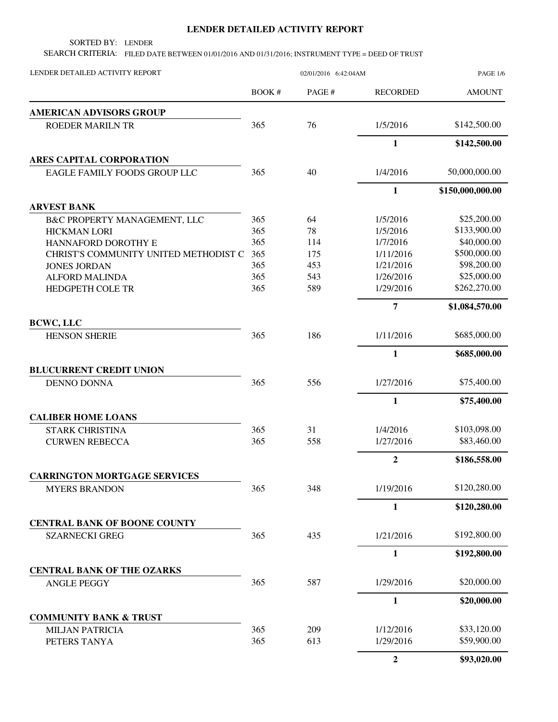## **LENDER DETAILED ACTIVITY REPORT**

SORTED BY: LENDER

SEARCH CRITERIA: FILED DATE BETWEEN 01/01/2016 AND 01/31/2016; INSTRUMENT TYPE = DEED OF TRUST

| LENDER DETAILED ACTIVITY REPORT       | 02/01/2016 6:42:04AM |       |                 | <b>PAGE 1/6</b>  |
|---------------------------------------|----------------------|-------|-----------------|------------------|
|                                       | <b>BOOK#</b>         | PAGE# | <b>RECORDED</b> | <b>AMOUNT</b>    |
| <b>AMERICAN ADVISORS GROUP</b>        |                      |       |                 |                  |
| ROEDER MARILN TR                      | 365                  | 76    | 1/5/2016        | \$142,500.00     |
|                                       |                      |       | $\mathbf{1}$    | \$142,500.00     |
| ARES CAPITAL CORPORATION              |                      |       |                 |                  |
| EAGLE FAMILY FOODS GROUP LLC          | 365                  | 40    | 1/4/2016        | 50,000,000.00    |
|                                       |                      |       | $\mathbf{1}$    | \$150,000,000.00 |
| <b>ARVEST BANK</b>                    |                      |       |                 |                  |
| B&C PROPERTY MANAGEMENT, LLC          | 365                  | 64    | 1/5/2016        | \$25,200.00      |
| <b>HICKMAN LORI</b>                   | 365                  | 78    | 1/5/2016        | \$133,900.00     |
| HANNAFORD DOROTHY E                   | 365                  | 114   | 1/7/2016        | \$40,000.00      |
| CHRIST'S COMMUNITY UNITED METHODIST C | 365                  | 175   | 1/11/2016       | \$500,000.00     |
| <b>JONES JORDAN</b>                   | 365                  | 453   | 1/21/2016       | \$98,200.00      |
| <b>ALFORD MALINDA</b>                 | 365                  | 543   | 1/26/2016       | \$25,000.00      |
| <b>HEDGPETH COLE TR</b>               | 365                  | 589   | 1/29/2016       | \$262,270.00     |
|                                       |                      |       | 7               | \$1,084,570.00   |
| <b>BCWC, LLC</b>                      |                      |       |                 |                  |
| <b>HENSON SHERIE</b>                  | 365                  | 186   | 1/11/2016       | \$685,000.00     |
|                                       |                      |       | $\mathbf{1}$    | \$685,000.00     |
| <b>BLUCURRENT CREDIT UNION</b>        |                      |       |                 |                  |
| <b>DENNO DONNA</b>                    | 365                  | 556   | 1/27/2016       | \$75,400.00      |
|                                       |                      |       | $\mathbf{1}$    | \$75,400.00      |
| <b>CALIBER HOME LOANS</b>             |                      |       |                 |                  |
| <b>STARK CHRISTINA</b>                | 365                  | 31    | 1/4/2016        | \$103,098.00     |
| <b>CURWEN REBECCA</b>                 | 365                  | 558   | 1/27/2016       | \$83,460.00      |
|                                       |                      |       | $\overline{2}$  | \$186,558.00     |
| <b>CARRINGTON MORTGAGE SERVICES</b>   |                      |       |                 |                  |
| <b>MYERS BRANDON</b>                  | 365                  | 348   | 1/19/2016       | \$120,280.00     |
|                                       |                      |       | 1               | \$120,280.00     |
| <b>CENTRAL BANK OF BOONE COUNTY</b>   |                      |       |                 |                  |
| <b>SZARNECKI GREG</b>                 | 365                  | 435   | 1/21/2016       | \$192,800.00     |
|                                       |                      |       | $\mathbf{1}$    | \$192,800.00     |
| <b>CENTRAL BANK OF THE OZARKS</b>     |                      |       |                 |                  |
| <b>ANGLE PEGGY</b>                    | 365                  | 587   | 1/29/2016       | \$20,000.00      |
|                                       |                      |       | 1               | \$20,000.00      |
| <b>COMMUNITY BANK &amp; TRUST</b>     |                      |       |                 |                  |
| <b>MILJAN PATRICIA</b>                | 365                  | 209   | 1/12/2016       | \$33,120.00      |
| PETERS TANYA                          | 365                  | 613   | 1/29/2016       | \$59,900.00      |
|                                       |                      |       | $\overline{2}$  | \$93,020.00      |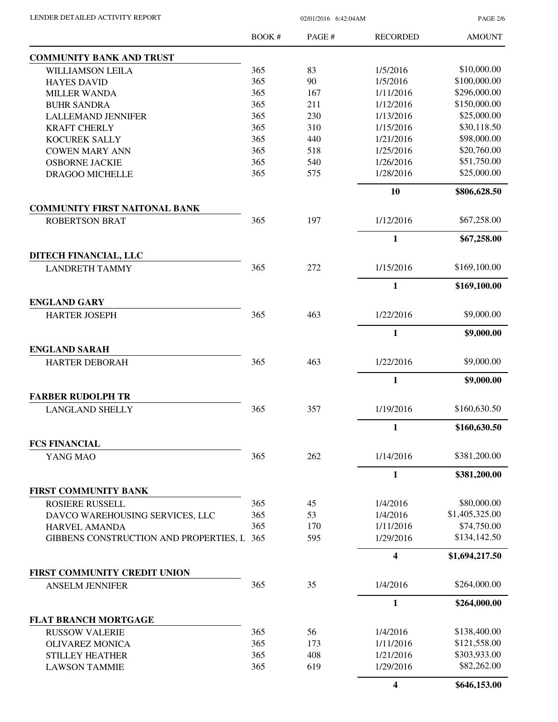PAGE 2/6

|                                             | BOOK# | PAGE# | <b>RECORDED</b> | <b>AMOUNT</b>  |
|---------------------------------------------|-------|-------|-----------------|----------------|
| <b>COMMUNITY BANK AND TRUST</b>             |       |       |                 |                |
| <b>WILLIAMSON LEILA</b>                     | 365   | 83    | 1/5/2016        | \$10,000.00    |
| <b>HAYES DAVID</b>                          | 365   | 90    | 1/5/2016        | \$100,000.00   |
| <b>MILLER WANDA</b>                         | 365   | 167   | 1/11/2016       | \$296,000.00   |
| <b>BUHR SANDRA</b>                          | 365   | 211   | 1/12/2016       | \$150,000.00   |
| <b>LALLEMAND JENNIFER</b>                   | 365   | 230   | 1/13/2016       | \$25,000.00    |
| <b>KRAFT CHERLY</b>                         | 365   | 310   | 1/15/2016       | \$30,118.50    |
| <b>KOCUREK SALLY</b>                        | 365   | 440   | 1/21/2016       | \$98,000.00    |
| <b>COWEN MARY ANN</b>                       | 365   | 518   | 1/25/2016       | \$20,760.00    |
| <b>OSBORNE JACKIE</b>                       | 365   | 540   | 1/26/2016       | \$51,750.00    |
| DRAGOO MICHELLE                             | 365   | 575   | 1/28/2016       | \$25,000.00    |
|                                             |       |       | 10              | \$806,628.50   |
| <b>COMMUNITY FIRST NAITONAL BANK</b>        |       |       |                 |                |
| <b>ROBERTSON BRAT</b>                       | 365   | 197   | 1/12/2016       | \$67,258.00    |
|                                             |       |       | $\mathbf{1}$    | \$67,258.00    |
| DITECH FINANCIAL, LLC                       | 365   | 272   | 1/15/2016       | \$169,100.00   |
| <b>LANDRETH TAMMY</b>                       |       |       |                 |                |
|                                             |       |       | $\mathbf{1}$    | \$169,100.00   |
| <b>ENGLAND GARY</b><br><b>HARTER JOSEPH</b> | 365   | 463   | 1/22/2016       | \$9,000.00     |
|                                             |       |       | $\mathbf{1}$    | \$9,000.00     |
| <b>ENGLAND SARAH</b>                        |       |       |                 |                |
| <b>HARTER DEBORAH</b>                       | 365   | 463   | 1/22/2016       | \$9,000.00     |
|                                             |       |       | $\mathbf{1}$    | \$9,000.00     |
| <b>FARBER RUDOLPH TR</b>                    |       |       |                 |                |
| <b>LANGLAND SHELLY</b>                      | 365   | 357   | 1/19/2016       | \$160,630.50   |
|                                             |       |       | 1               | \$160,630.50   |
| <b>FCS FINANCIAL</b>                        |       |       |                 |                |
| YANG MAO                                    | 365   | 262   | 1/14/2016       | \$381,200.00   |
|                                             |       |       | $\mathbf{1}$    | \$381,200.00   |
| <b>FIRST COMMUNITY BANK</b>                 |       |       |                 |                |
| <b>ROSIERE RUSSELL</b>                      | 365   | 45    | 1/4/2016        | \$80,000.00    |
| DAVCO WAREHOUSING SERVICES, LLC             | 365   | 53    | 1/4/2016        | \$1,405,325.00 |
| <b>HARVEL AMANDA</b>                        | 365   | 170   | 1/11/2016       | \$74,750.00    |
| GIBBENS CONSTRUCTION AND PROPERTIES, L 365  |       | 595   | 1/29/2016       | \$134,142.50   |
|                                             |       |       | 4               | \$1,694,217.50 |
| FIRST COMMUNITY CREDIT UNION                |       |       |                 |                |
| <b>ANSELM JENNIFER</b>                      | 365   | 35    | 1/4/2016        | \$264,000.00   |
|                                             |       |       | $\mathbf{1}$    | \$264,000.00   |
| <b>FLAT BRANCH MORTGAGE</b>                 |       |       |                 |                |
| <b>RUSSOW VALERIE</b>                       | 365   | 56    | 1/4/2016        | \$138,400.00   |
| <b>OLIVAREZ MONICA</b>                      | 365   | 173   | 1/11/2016       | \$121,558.00   |
| <b>STILLEY HEATHER</b>                      | 365   | 408   | 1/21/2016       | \$303,933.00   |
| <b>LAWSON TAMMIE</b>                        | 365   | 619   | 1/29/2016       | \$82,262.00    |
|                                             |       |       | 4               | \$646,153.00   |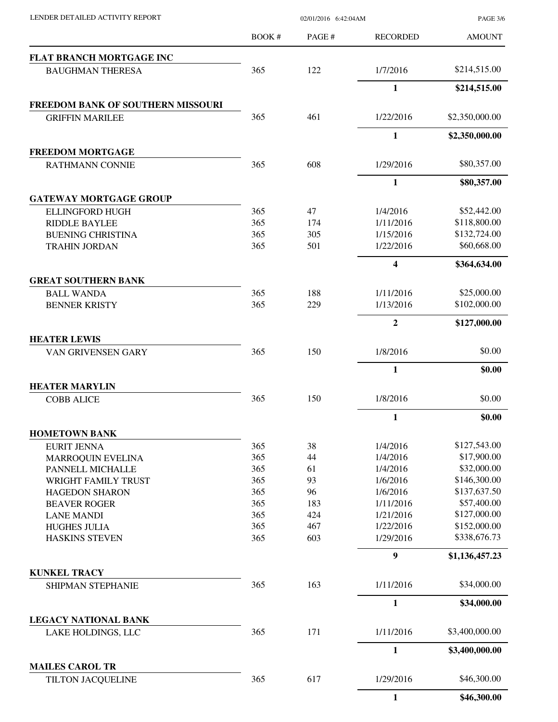| LENDER DETAILED ACTIVITY REPORT |  |
|---------------------------------|--|

02/01/2016 6:42:04AM

PAGE 3/6

|                                              | BOOK#      | PAGE#      | <b>RECORDED</b>         | <b>AMOUNT</b>                |
|----------------------------------------------|------------|------------|-------------------------|------------------------------|
| <b>FLAT BRANCH MORTGAGE INC</b>              |            |            |                         |                              |
| <b>BAUGHMAN THERESA</b>                      | 365        | 122        | 1/7/2016                | \$214,515.00                 |
|                                              |            |            | 1                       | \$214,515.00                 |
| <b>FREEDOM BANK OF SOUTHERN MISSOURI</b>     |            |            |                         |                              |
| <b>GRIFFIN MARILEE</b>                       | 365        | 461        | 1/22/2016               | \$2,350,000.00               |
|                                              |            |            | $\mathbf{1}$            | \$2,350,000.00               |
| <b>FREEDOM MORTGAGE</b>                      | 365        | 608        | 1/29/2016               | \$80,357.00                  |
| <b>RATHMANN CONNIE</b>                       |            |            |                         |                              |
|                                              |            |            | $\mathbf{1}$            | \$80,357.00                  |
| <b>GATEWAY MORTGAGE GROUP</b>                |            |            |                         |                              |
| <b>ELLINGFORD HUGH</b>                       | 365        | 47         | 1/4/2016                | \$52,442.00                  |
| <b>RIDDLE BAYLEE</b>                         | 365        | 174        | 1/11/2016               | \$118,800.00                 |
| <b>BUENING CHRISTINA</b>                     | 365        | 305        | 1/15/2016               | \$132,724.00                 |
| <b>TRAHIN JORDAN</b>                         | 365        | 501        | 1/22/2016               | \$60,668.00                  |
|                                              |            |            | $\overline{\mathbf{4}}$ | \$364,634.00                 |
| <b>GREAT SOUTHERN BANK</b>                   |            |            |                         |                              |
| <b>BALL WANDA</b>                            | 365        | 188        | 1/11/2016               | \$25,000.00                  |
| <b>BENNER KRISTY</b>                         | 365        | 229        | 1/13/2016               | \$102,000.00                 |
|                                              |            |            | $\overline{2}$          | \$127,000.00                 |
| <b>HEATER LEWIS</b>                          |            |            |                         |                              |
| VAN GRIVENSEN GARY                           | 365        | 150        | 1/8/2016                | \$0.00                       |
|                                              |            |            | $\mathbf{1}$            | \$0.00                       |
| <b>HEATER MARYLIN</b>                        |            |            |                         |                              |
| <b>COBB ALICE</b>                            | 365        | 150        | 1/8/2016                | \$0.00                       |
|                                              |            |            | 1                       | \$0.00                       |
| <b>HOMETOWN BANK</b>                         |            |            |                         |                              |
| <b>EURIT JENNA</b>                           | 365        | 38         | 1/4/2016                | \$127,543.00                 |
| <b>MARROQUIN EVELINA</b>                     | 365        | 44         | 1/4/2016                | \$17,900.00                  |
| PANNELL MICHALLE                             | 365        | 61         | 1/4/2016                | \$32,000.00                  |
| WRIGHT FAMILY TRUST                          |            |            |                         |                              |
| <b>HAGEDON SHARON</b>                        | 365        | 93         | 1/6/2016                | \$146,300.00                 |
|                                              | 365        | 96         | 1/6/2016                | \$137,637.50                 |
|                                              | 365        | 183        | 1/11/2016               | \$57,400.00                  |
| <b>BEAVER ROGER</b>                          |            |            |                         |                              |
| <b>LANE MANDI</b>                            | 365        | 424        | 1/21/2016               | \$127,000.00                 |
| <b>HUGHES JULIA</b><br><b>HASKINS STEVEN</b> | 365<br>365 | 467<br>603 | 1/22/2016<br>1/29/2016  | \$152,000.00<br>\$338,676.73 |
|                                              |            |            | $\boldsymbol{9}$        | \$1,136,457.23               |
|                                              |            |            |                         |                              |
| <b>KUNKEL TRACY</b><br>SHIPMAN STEPHANIE     | 365        | 163        | 1/11/2016               | \$34,000.00                  |
|                                              |            |            | 1                       | \$34,000.00                  |
| <b>LEGACY NATIONAL BANK</b>                  |            |            |                         |                              |
| LAKE HOLDINGS, LLC                           | 365        | 171        | 1/11/2016               | \$3,400,000.00               |
|                                              |            |            | $\mathbf{1}$            | \$3,400,000.00               |
| <b>MAILES CAROL TR</b>                       |            |            |                         |                              |
| TILTON JACQUELINE                            | 365        | 617        | 1/29/2016               | \$46,300.00                  |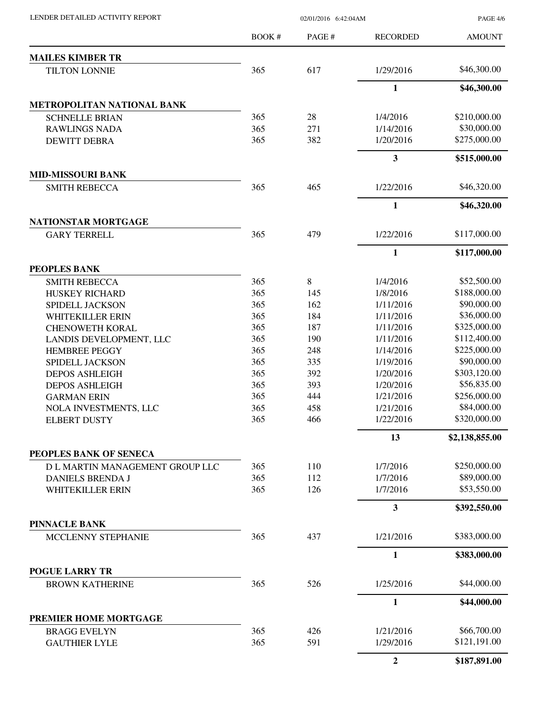LENDER DETAILED ACTIVITY REPORT 02/01/2016 6:42:04AM

PAGE 4/6

|                                                  | <b>BOOK#</b> | PAGE# | <b>RECORDED</b>         | <b>AMOUNT</b>  |
|--------------------------------------------------|--------------|-------|-------------------------|----------------|
| <b>MAILES KIMBER TR</b>                          |              |       |                         |                |
| <b>TILTON LONNIE</b>                             | 365          | 617   | 1/29/2016               | \$46,300.00    |
|                                                  |              |       | $\mathbf{1}$            | \$46,300.00    |
| METROPOLITAN NATIONAL BANK                       |              |       |                         |                |
| <b>SCHNELLE BRIAN</b>                            | 365          | 28    | 1/4/2016                | \$210,000.00   |
| <b>RAWLINGS NADA</b>                             | 365          | 271   | 1/14/2016               | \$30,000.00    |
| <b>DEWITT DEBRA</b>                              | 365          | 382   | 1/20/2016               | \$275,000.00   |
|                                                  |              |       | $\mathbf{3}$            | \$515,000.00   |
| <b>MID-MISSOURI BANK</b><br><b>SMITH REBECCA</b> | 365          | 465   | 1/22/2016               | \$46,320.00    |
|                                                  |              |       | $\mathbf{1}$            | \$46,320.00    |
| <b>NATIONSTAR MORTGAGE</b>                       |              |       |                         |                |
| <b>GARY TERRELL</b>                              | 365          | 479   | 1/22/2016               | \$117,000.00   |
|                                                  |              |       | $\mathbf{1}$            | \$117,000.00   |
| PEOPLES BANK                                     |              |       |                         |                |
| <b>SMITH REBECCA</b>                             | 365          | 8     | 1/4/2016                | \$52,500.00    |
| HUSKEY RICHARD                                   | 365          | 145   | 1/8/2016                | \$188,000.00   |
| SPIDELL JACKSON                                  | 365          | 162   | 1/11/2016               | \$90,000.00    |
| WHITEKILLER ERIN                                 | 365          | 184   | 1/11/2016               | \$36,000.00    |
| <b>CHENOWETH KORAL</b>                           | 365          | 187   | 1/11/2016               | \$325,000.00   |
| LANDIS DEVELOPMENT, LLC                          | 365          | 190   | 1/11/2016               | \$112,400.00   |
| <b>HEMBREE PEGGY</b>                             | 365          | 248   | 1/14/2016               | \$225,000.00   |
| SPIDELL JACKSON                                  | 365          | 335   | 1/19/2016               | \$90,000.00    |
| <b>DEPOS ASHLEIGH</b>                            | 365          | 392   | 1/20/2016               | \$303,120.00   |
| <b>DEPOS ASHLEIGH</b>                            | 365          | 393   | 1/20/2016               | \$56,835.00    |
| <b>GARMAN ERIN</b>                               | 365          | 444   | 1/21/2016               | \$256,000.00   |
| NOLA INVESTMENTS, LLC                            | 365          | 458   | 1/21/2016               | \$84,000.00    |
| <b>ELBERT DUSTY</b>                              | 365          | 466   | 1/22/2016               | \$320,000.00   |
|                                                  |              |       | 13                      | \$2,138,855.00 |
| PEOPLES BANK OF SENECA                           |              |       |                         |                |
| D L MARTIN MANAGEMENT GROUP LLC                  | 365          | 110   | 1/7/2016                | \$250,000.00   |
| <b>DANIELS BRENDA J</b>                          | 365          | 112   | 1/7/2016                | \$89,000.00    |
| <b>WHITEKILLER ERIN</b>                          | 365          | 126   | 1/7/2016                | \$53,550.00    |
|                                                  |              |       | $\overline{\mathbf{3}}$ | \$392,550.00   |
| <b>PINNACLE BANK</b>                             |              |       |                         |                |
| MCCLENNY STEPHANIE                               | 365          | 437   | 1/21/2016               | \$383,000.00   |
|                                                  |              |       | $\mathbf{1}$            | \$383,000.00   |
| <b>POGUE LARRY TR</b><br><b>BROWN KATHERINE</b>  | 365          | 526   | 1/25/2016               | \$44,000.00    |
|                                                  |              |       | $\mathbf{1}$            | \$44,000.00    |
| PREMIER HOME MORTGAGE                            |              |       |                         |                |
| <b>BRAGG EVELYN</b>                              | 365          | 426   | 1/21/2016               | \$66,700.00    |
| <b>GAUTHIER LYLE</b>                             | 365          | 591   | 1/29/2016               | \$121,191.00   |
|                                                  |              |       | $\boldsymbol{2}$        | \$187,891.00   |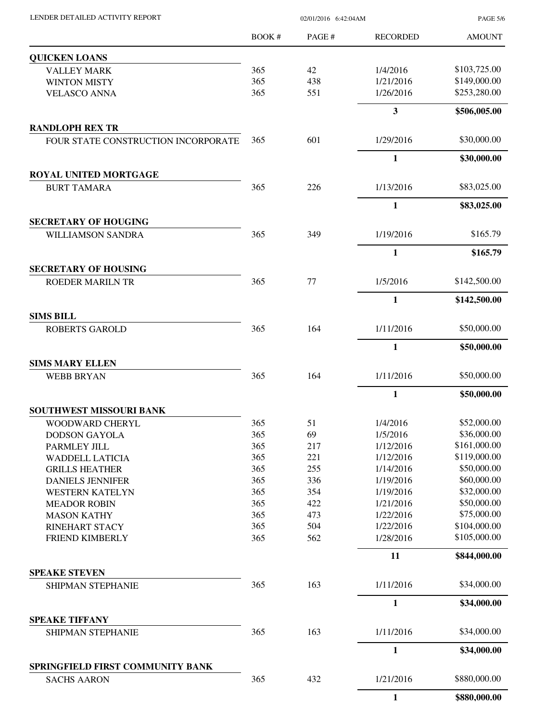| LENDER DETAILED ACTIVITY REPORT |  |
|---------------------------------|--|
|                                 |  |

02/01/2016 6:42:04AM

PAGE 5/6

|                                     | BOOK# | PAGE# | <b>RECORDED</b> | <b>AMOUNT</b> |
|-------------------------------------|-------|-------|-----------------|---------------|
| <b>QUICKEN LOANS</b>                |       |       |                 |               |
| <b>VALLEY MARK</b>                  | 365   | 42    | 1/4/2016        | \$103,725.00  |
| <b>WINTON MISTY</b>                 | 365   | 438   | 1/21/2016       | \$149,000.00  |
| <b>VELASCO ANNA</b>                 | 365   | 551   | 1/26/2016       | \$253,280.00  |
|                                     |       |       | $\mathbf{3}$    | \$506,005.00  |
| <b>RANDLOPH REX TR</b>              |       |       |                 |               |
| FOUR STATE CONSTRUCTION INCORPORATE | 365   | 601   | 1/29/2016       | \$30,000.00   |
|                                     |       |       | $\mathbf{1}$    | \$30,000.00   |
| <b>ROYAL UNITED MORTGAGE</b>        |       |       |                 |               |
| <b>BURT TAMARA</b>                  | 365   | 226   | 1/13/2016       | \$83,025.00   |
|                                     |       |       | $\mathbf{1}$    | \$83,025.00   |
| <b>SECRETARY OF HOUGING</b>         |       |       |                 |               |
| <b>WILLIAMSON SANDRA</b>            | 365   | 349   | 1/19/2016       | \$165.79      |
|                                     |       |       | $\mathbf{1}$    | \$165.79      |
| <b>SECRETARY OF HOUSING</b>         |       |       |                 |               |
| <b>ROEDER MARILN TR</b>             | 365   | 77    | 1/5/2016        | \$142,500.00  |
|                                     |       |       | $\mathbf{1}$    | \$142,500.00  |
| <b>SIMS BILL</b>                    |       |       |                 |               |
| <b>ROBERTS GAROLD</b>               | 365   | 164   | 1/11/2016       | \$50,000.00   |
|                                     |       |       | 1               | \$50,000.00   |
| <b>SIMS MARY ELLEN</b>              |       |       |                 |               |
| <b>WEBB BRYAN</b>                   | 365   | 164   | 1/11/2016       | \$50,000.00   |
|                                     |       |       | $\mathbf{1}$    | \$50,000.00   |
| <b>SOUTHWEST MISSOURI BANK</b>      |       |       |                 |               |
| WOODWARD CHERYL                     | 365   | 51    | 1/4/2016        | \$52,000.00   |
| <b>DODSON GAYOLA</b>                | 365   | 69    | 1/5/2016        | \$36,000.00   |
| PARMLEY JILL                        | 365   | 217   | 1/12/2016       | \$161,000.00  |
| <b>WADDELL LATICIA</b>              | 365   | 221   | 1/12/2016       | \$119,000.00  |
| <b>GRILLS HEATHER</b>               | 365   | 255   | 1/14/2016       | \$50,000.00   |
| <b>DANIELS JENNIFER</b>             | 365   | 336   | 1/19/2016       | \$60,000.00   |
| <b>WESTERN KATELYN</b>              | 365   | 354   | 1/19/2016       | \$32,000.00   |
| <b>MEADOR ROBIN</b>                 | 365   | 422   | 1/21/2016       | \$50,000.00   |
| <b>MASON KATHY</b>                  | 365   | 473   | 1/22/2016       | \$75,000.00   |
| <b>RINEHART STACY</b>               | 365   | 504   | 1/22/2016       | \$104,000.00  |
| FRIEND KIMBERLY                     | 365   | 562   | 1/28/2016       | \$105,000.00  |
|                                     |       |       | 11              | \$844,000.00  |
| <b>SPEAKE STEVEN</b>                |       |       |                 |               |
| SHIPMAN STEPHANIE                   | 365   | 163   | 1/11/2016       | \$34,000.00   |
|                                     |       |       | $\mathbf{1}$    | \$34,000.00   |
| <b>SPEAKE TIFFANY</b>               |       |       |                 |               |
| SHIPMAN STEPHANIE                   | 365   | 163   | 1/11/2016       | \$34,000.00   |
|                                     |       |       | $\mathbf{1}$    | \$34,000.00   |
| SPRINGFIELD FIRST COMMUNITY BANK    |       |       |                 | \$880,000.00  |
| <b>SACHS AARON</b>                  | 365   | 432   | 1/21/2016       |               |
|                                     |       |       | $\mathbf{1}$    | \$880,000.00  |